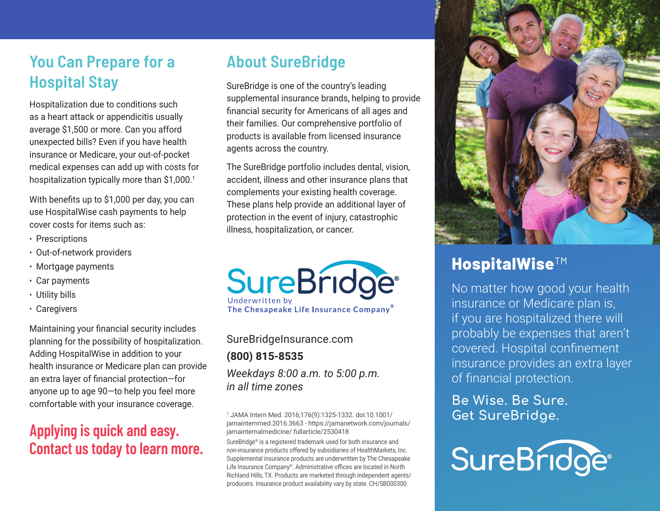## **You Can Prepare for a Hospital Stay**

Hospitalization due to conditions such as a heart attack or appendicitis usually average \$1,500 or more. Can you afford unexpected bills? Even if you have health insurance or Medicare, your out-of-pocket medical expenses can add up with costs for hospitalization typically more than \$1,000.<sup>1</sup>

With benefits up to \$1,000 per day, you can use HospitalWise cash payments to help cover costs for items such as:

- Prescriptions
- Out-of-network providers
- Mortgage payments
- Car payments
- Utility bills
- Caregivers

Maintaining your financial security includes planning for the possibility of hospitalization. Adding HospitalWise in addition to your health insurance or Medicare plan can provide an extra layer of financial protection—for anyone up to age 90—to help you feel more comfortable with your insurance coverage.

### **Applying is quick and easy. Contact us today to learn more.**

## **About SureBridge**

SureBridge is one of the country's leading supplemental insurance brands, helping to provide financial security for Americans of all ages and their families. Our comprehensive portfolio of products is available from licensed insurance agents across the country.

The SureBridge portfolio includes dental, vision, accident, illness and other insurance plans that complements your existing health coverage. These plans help provide an additional layer of protection in the event of injury, catastrophic illness, hospitalization, or cancer.

**SureBridge®** Underwritten by The Chesapeake Life Insurance Company®

SureBridgeInsurance.com **(800) 815-8535** *Weekdays 8:00 a.m. to 5:00 p.m. in all time zones*

1 JAMA Intern Med. 2016;176(9):1325-1332. doi:10.1001/ jamainternmed.2016.3663 - https://jamanetwork.com/journals/ jamainternalmedicine/ fullarticle/2530418

SureBridge® is a registered trademark used for both insurance and non-insurance products offered by subsidiaries of HealthMarkets, Inc. Supplemental insurance products are underwritten by The Chesapeake Life Insurance Company®. Administrative offices are located in North Richland Hills, TX. Products are marketed through independent agents/ producers. Insurance product availability vary by state. CH/SB000300



## **HospitalWise™**

No matter how good your health insurance or Medicare plan is, if you are hospitalized there will probably be expenses that aren't covered. Hospital confinement insurance provides an extra layer of financial protection.

**Be Wise. Be Sure. Get SureBridge.**